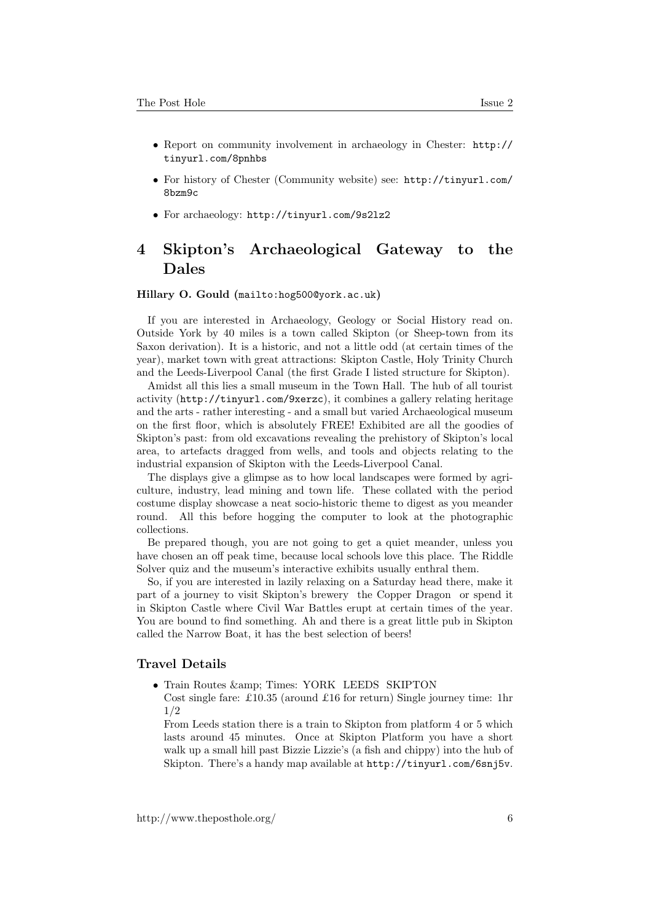- Report on community involvement in archaeology in Chester: [http://](http://tinyurl.com/8pnhbs) [tinyurl.com/8pnhbs](http://tinyurl.com/8pnhbs)
- For history of Chester (Community website) see: [http://tinyurl.com/](http://tinyurl.com/8bzm9c) [8bzm9c](http://tinyurl.com/8bzm9c)
- For archaeology: <http://tinyurl.com/9s2lz2>

# 4 Skipton's Archaeological Gateway to the Dales

#### Hillary O. Gould (<mailto:hog500@york.ac.uk>)

If you are interested in Archaeology, Geology or Social History read on. Outside York by 40 miles is a town called Skipton (or Sheep-town from its Saxon derivation). It is a historic, and not a little odd (at certain times of the year), market town with great attractions: Skipton Castle, Holy Trinity Church and the Leeds-Liverpool Canal (the first Grade I listed structure for Skipton).

Amidst all this lies a small museum in the Town Hall. The hub of all tourist activity (<http://tinyurl.com/9xerzc>), it combines a gallery relating heritage and the arts - rather interesting - and a small but varied Archaeological museum on the first floor, which is absolutely FREE! Exhibited are all the goodies of Skipton's past: from old excavations revealing the prehistory of Skipton's local area, to artefacts dragged from wells, and tools and objects relating to the industrial expansion of Skipton with the Leeds-Liverpool Canal.

The displays give a glimpse as to how local landscapes were formed by agriculture, industry, lead mining and town life. These collated with the period costume display showcase a neat socio-historic theme to digest as you meander round. All this before hogging the computer to look at the photographic collections.

Be prepared though, you are not going to get a quiet meander, unless you have chosen an off peak time, because local schools love this place. The Riddle Solver quiz and the museum's interactive exhibits usually enthral them.

So, if you are interested in lazily relaxing on a Saturday head there, make it part of a journey to visit Skipton's brewery the Copper Dragon or spend it in Skipton Castle where Civil War Battles erupt at certain times of the year. You are bound to find something. Ah and there is a great little pub in Skipton called the Narrow Boat, it has the best selection of beers!

### Travel Details

- $\bullet$  Train Routes  $\&$ amp: Times: YORK LEEDS SKIPTON
- Cost single fare: £10.35 (around £16 for return) Single journey time: 1hr 1/2

From Leeds station there is a train to Skipton from platform 4 or 5 which lasts around 45 minutes. Once at Skipton Platform you have a short walk up a small hill past Bizzie Lizzie's (a fish and chippy) into the hub of Skipton. There's a handy map available at <http://tinyurl.com/6snj5v>.